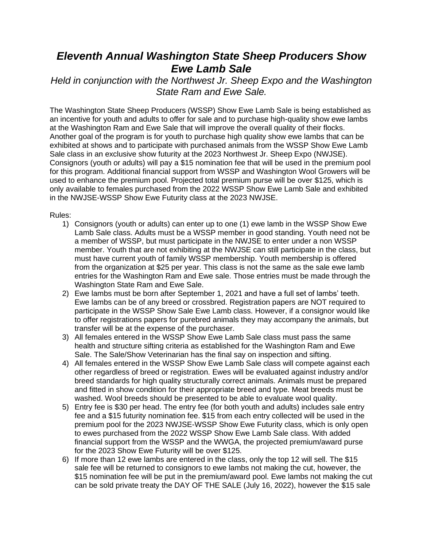## *Eleventh Annual Washington State Sheep Producers Show Ewe Lamb Sale*

*Held in conjunction with the Northwest Jr. Sheep Expo and the Washington State Ram and Ewe Sale.*

The Washington State Sheep Producers (WSSP) Show Ewe Lamb Sale is being established as an incentive for youth and adults to offer for sale and to purchase high-quality show ewe lambs at the Washington Ram and Ewe Sale that will improve the overall quality of their flocks. Another goal of the program is for youth to purchase high quality show ewe lambs that can be exhibited at shows and to participate with purchased animals from the WSSP Show Ewe Lamb Sale class in an exclusive show futurity at the 2023 Northwest Jr. Sheep Expo (NWJSE). Consignors (youth or adults) will pay a \$15 nomination fee that will be used in the premium pool for this program. Additional financial support from WSSP and Washington Wool Growers will be used to enhance the premium pool. Projected total premium purse will be over \$125, which is only available to females purchased from the 2022 WSSP Show Ewe Lamb Sale and exhibited in the NWJSE-WSSP Show Ewe Futurity class at the 2023 NWJSE.

Rules:

- 1) Consignors (youth or adults) can enter up to one (1) ewe lamb in the WSSP Show Ewe Lamb Sale class. Adults must be a WSSP member in good standing. Youth need not be a member of WSSP, but must participate in the NWJSE to enter under a non WSSP member. Youth that are not exhibiting at the NWJSE can still participate in the class, but must have current youth of family WSSP membership. Youth membership is offered from the organization at \$25 per year. This class is not the same as the sale ewe lamb entries for the Washington Ram and Ewe sale. Those entries must be made through the Washington State Ram and Ewe Sale.
- 2) Ewe lambs must be born after September 1, 2021 and have a full set of lambs' teeth. Ewe lambs can be of any breed or crossbred. Registration papers are NOT required to participate in the WSSP Show Sale Ewe Lamb class. However, if a consignor would like to offer registrations papers for purebred animals they may accompany the animals, but transfer will be at the expense of the purchaser.
- 3) All females entered in the WSSP Show Ewe Lamb Sale class must pass the same health and structure sifting criteria as established for the Washington Ram and Ewe Sale. The Sale/Show Veterinarian has the final say on inspection and sifting.
- 4) All females entered in the WSSP Show Ewe Lamb Sale class will compete against each other regardless of breed or registration. Ewes will be evaluated against industry and/or breed standards for high quality structurally correct animals. Animals must be prepared and fitted in show condition for their appropriate breed and type. Meat breeds must be washed. Wool breeds should be presented to be able to evaluate wool quality.
- 5) Entry fee is \$30 per head. The entry fee (for both youth and adults) includes sale entry fee and a \$15 futurity nomination fee. \$15 from each entry collected will be used in the premium pool for the 2023 NWJSE-WSSP Show Ewe Futurity class, which is only open to ewes purchased from the 2022 WSSP Show Ewe Lamb Sale class. With added financial support from the WSSP and the WWGA, the projected premium/award purse for the 2023 Show Ewe Futurity will be over \$125.
- 6) If more than 12 ewe lambs are entered in the class, only the top 12 will sell. The \$15 sale fee will be returned to consignors to ewe lambs not making the cut, however, the \$15 nomination fee will be put in the premium/award pool. Ewe lambs not making the cut can be sold private treaty the DAY OF THE SALE (July 16, 2022), however the \$15 sale